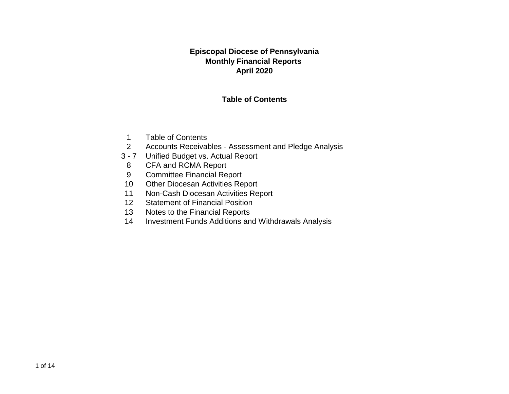#### **Episcopal Diocese of Pennsylvania Monthly Financial Reports April 2020**

#### **Table of Contents**

- 1 Table of Contents
- 2 Accounts Receivables Assessment and Pledge Analysis
- 3 7 Unified Budget vs. Actual Report
- 8 CFA and RCMA Report
- 9 Committee Financial Report
- 10 Other Diocesan Activities Report
- 11 Non-Cash Diocesan Activities Report
- 12 Statement of Financial Position
- 13 Notes to the Financial Reports
- 14 Investment Funds Additions and Withdrawals Analysis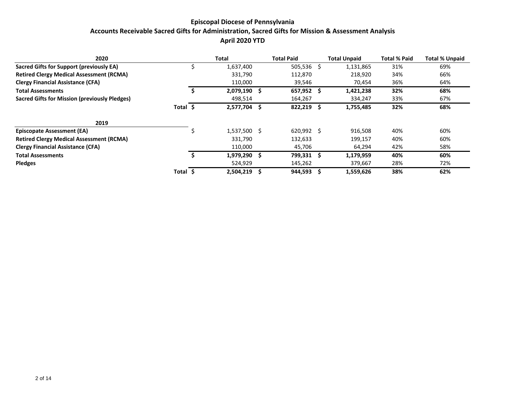#### **Episcopal Diocese of Pennsylvania Accounts Receivable Sacred Gifts for Administration, Sacred Gifts for Mission & Assessment Analysis April 2020 YTD**

| 2020                                                 |          | Total        |    | <b>Total Paid</b> | <b>Total Unpaid</b> | <b>Total % Paid</b> | <b>Total % Unpaid</b> |
|------------------------------------------------------|----------|--------------|----|-------------------|---------------------|---------------------|-----------------------|
| Sacred Gifts for Support (previously EA)             |          | 1,637,400    |    | $505,536$ \$      | 1,131,865           | 31%                 | 69%                   |
| <b>Retired Clergy Medical Assessment (RCMA)</b>      |          | 331,790      |    | 112,870           | 218,920             | 34%                 | 66%                   |
| <b>Clergy Financial Assistance (CFA)</b>             |          | 110,000      |    | 39,546            | 70,454              | 36%                 | 64%                   |
| <b>Total Assessments</b>                             |          | 2,079,190    | -S | 657,952 \$        | 1,421,238           | 32%                 | 68%                   |
| <b>Sacred Gifts for Mission (previously Pledges)</b> |          | 498,514      |    | 164,267           | 334,247             | 33%                 | 67%                   |
|                                                      | Total \$ | 2,577,704    | -S | 822,219 \$        | 1,755,485           | 32%                 | 68%                   |
| 2019                                                 |          |              |    |                   |                     |                     |                       |
| <b>Episcopate Assessment (EA)</b>                    |          | 1,537,500 \$ |    | $620,992$ \$      | 916,508             | 40%                 | 60%                   |
| <b>Retired Clergy Medical Assessment (RCMA)</b>      |          | 331,790      |    | 132,633           | 199,157             | 40%                 | 60%                   |
| <b>Clergy Financial Assistance (CFA)</b>             |          | 110,000      |    | 45,706            | 64,294              | 42%                 | 58%                   |
| <b>Total Assessments</b>                             |          | 1,979,290    | -S | 799,331 \$        | 1,179,959           | 40%                 | 60%                   |
| <b>Pledges</b>                                       |          | 524,929      |    | 145,262           | 379,667             | 28%                 | 72%                   |
|                                                      | Total \$ | 2,504,219    | Ŝ. | 944,593           | 1,559,626           | 38%                 | 62%                   |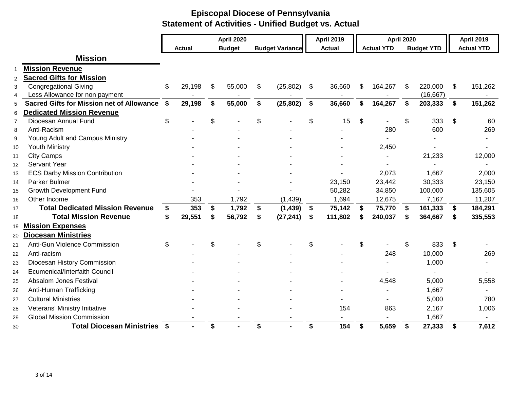|                |                                                  |               |    | <b>April 2020</b> |                        | <b>April 2019</b> |       | <b>April 2020</b> |     |                   | <b>April 2019</b> |
|----------------|--------------------------------------------------|---------------|----|-------------------|------------------------|-------------------|-------|-------------------|-----|-------------------|-------------------|
|                |                                                  | <b>Actual</b> |    | <b>Budget</b>     | <b>Budget Variance</b> | <b>Actual</b>     |       | <b>Actual YTD</b> |     | <b>Budget YTD</b> | <b>Actual YTD</b> |
|                | <b>Mission</b>                                   |               |    |                   |                        |                   |       |                   |     |                   |                   |
| -1             | <b>Mission Revenue</b>                           |               |    |                   |                        |                   |       |                   |     |                   |                   |
| $\overline{2}$ | <b>Sacred Gifts for Mission</b>                  |               |    |                   |                        |                   |       |                   |     |                   |                   |
| 3              | <b>Congregational Giving</b>                     | \$<br>29,198  | \$ | 55,000            | \$<br>(25, 802)        | \$<br>36,660      | \$    | 164,267           | \$  | 220,000           | \$<br>151,262     |
| 4              | Less Allowance for non payment                   |               |    |                   |                        |                   |       |                   |     | (16, 667)         |                   |
| 5              | <b>Sacred Gifts for Mission net of Allowance</b> | \$<br>29,198  | \$ | 55,000            | \$<br>(25, 802)        | \$<br>36,660      | \$    | 164,267           | \$  | 203,333           | \$<br>151,262     |
| 6              | <b>Dedicated Mission Revenue</b>                 |               |    |                   |                        |                   |       |                   |     |                   |                   |
| $\overline{7}$ | Diocesan Annual Fund                             | \$            | \$ |                   | \$                     | \$<br>15          | $\$\$ |                   | \$  | 333               | \$<br>60          |
| 8              | Anti-Racism                                      |               |    |                   |                        |                   |       | 280               |     | 600               | 269               |
| 9              | Young Adult and Campus Ministry                  |               |    |                   |                        |                   |       |                   |     |                   |                   |
| 10             | <b>Youth Ministry</b>                            |               |    |                   |                        |                   |       | 2,450             |     |                   |                   |
| 11             | <b>City Camps</b>                                |               |    |                   |                        |                   |       |                   |     | 21,233            | 12,000            |
| 12             | Servant Year                                     |               |    |                   |                        |                   |       |                   |     |                   |                   |
| 13             | <b>ECS Darby Mission Contribution</b>            |               |    |                   |                        |                   |       | 2,073             |     | 1,667             | 2,000             |
| 14             | <b>Parker Bulmer</b>                             |               |    |                   |                        | 23,150            |       | 23,442            |     | 30,333            | 23,150            |
| 15             | <b>Growth Development Fund</b>                   |               |    |                   |                        | 50,282            |       | 34,850            |     | 100,000           | 135,605           |
| 16             | Other Income                                     | 353           |    | 1,792             | (1, 439)               | 1,694             |       | 12,675            |     | 7,167             | 11,207            |
| 17             | <b>Total Dedicated Mission Revenue</b>           | \$<br>353     | \$ | 1,792             | \$<br>(1, 439)         | \$<br>75,142      | \$    | 75,770            | -\$ | 161,333           | \$<br>184,291     |
| 18             | <b>Total Mission Revenue</b>                     | \$<br>29,551  | S  | 56,792            | \$<br>(27, 241)        | \$<br>111,802     | \$    | 240,037           | £.  | 364,667           | \$<br>335,553     |
| 19             | <b>Mission Expenses</b>                          |               |    |                   |                        |                   |       |                   |     |                   |                   |
| 20             | <b>Diocesan Ministries</b>                       |               |    |                   |                        |                   |       |                   |     |                   |                   |
| 21             | Anti-Gun Violence Commission                     | \$            | \$ |                   | \$                     | \$                | \$    |                   | \$  | 833               | \$                |
| 22             | Anti-racism                                      |               |    |                   |                        |                   |       | 248               |     | 10,000            | 269               |
| 23             | Diocesan History Commission                      |               |    |                   |                        |                   |       |                   |     | 1,000             |                   |
| 24             | <b>Ecumenical/Interfaith Council</b>             |               |    |                   |                        |                   |       |                   |     |                   |                   |
| 25             | Absalom Jones Festival                           |               |    |                   |                        |                   |       | 4,548             |     | 5,000             | 5,558             |
| 26             | Anti-Human Trafficking                           |               |    |                   |                        |                   |       |                   |     | 1,667             |                   |
| 27             | <b>Cultural Ministries</b>                       |               |    |                   |                        |                   |       |                   |     | 5,000             | 780               |
| 28             | Veterans' Ministry Initiative                    |               |    |                   |                        | 154               |       | 863               |     | 2,167             | 1,006             |
| 29             | <b>Global Mission Commission</b>                 |               |    |                   |                        |                   |       |                   |     | 1,667             |                   |
| 30             | <b>Total Diocesan Ministries \$</b>              |               | \$ |                   | \$                     | \$<br>154         | \$    | 5,659             | \$  | 27,333            | \$<br>7,612       |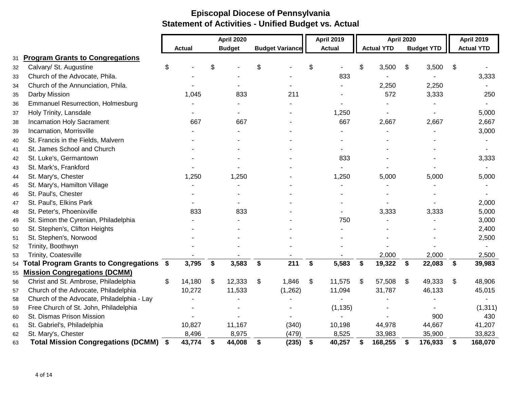|    |                                              | <b>April 2020</b> |               |               |                | <b>April 2019</b>      |                | <b>April 2020</b> |    |                   | <b>April 2019</b> |                   |    |                   |
|----|----------------------------------------------|-------------------|---------------|---------------|----------------|------------------------|----------------|-------------------|----|-------------------|-------------------|-------------------|----|-------------------|
|    |                                              |                   | <b>Actual</b> | <b>Budget</b> |                | <b>Budget Variance</b> |                | <b>Actual</b>     |    | <b>Actual YTD</b> |                   | <b>Budget YTD</b> |    | <b>Actual YTD</b> |
| 31 | <b>Program Grants to Congregations</b>       |                   |               |               |                |                        |                |                   |    |                   |                   |                   |    |                   |
| 32 | Calvary/ St. Augustine                       | \$                |               | \$            | \$             |                        | \$             |                   |    | 3,500             | \$                | 3,500             | \$ |                   |
| 33 | Church of the Advocate, Phila.               |                   |               |               |                |                        |                | 833               |    |                   |                   |                   |    | 3,333             |
| 34 | Church of the Annunciation, Phila.           |                   |               |               |                |                        |                |                   |    | 2,250             |                   | 2,250             |    |                   |
| 35 | Darby Mission                                |                   | 1,045         | 833           |                | 211                    |                |                   |    | 572               |                   | 3,333             |    | 250               |
| 36 | <b>Emmanuel Resurrection, Holmesburg</b>     |                   |               |               |                |                        |                |                   |    |                   |                   |                   |    |                   |
| 37 | Holy Trinity, Lansdale                       |                   |               |               |                |                        |                | 1,250             |    |                   |                   |                   |    | 5,000             |
| 38 | <b>Incarnation Holy Sacrament</b>            |                   | 667           | 667           |                |                        |                | 667               |    | 2,667             |                   | 2,667             |    | 2,667             |
| 39 | Incarnation, Morrisville                     |                   |               |               |                |                        |                |                   |    |                   |                   |                   |    | 3,000             |
| 40 | St. Francis in the Fields, Malvern           |                   |               |               |                |                        |                |                   |    |                   |                   |                   |    |                   |
| 41 | St. James School and Church                  |                   |               |               |                |                        |                |                   |    |                   |                   |                   |    |                   |
| 42 | St. Luke's, Germantown                       |                   |               |               |                |                        |                | 833               |    |                   |                   |                   |    | 3,333             |
| 43 | St. Mark's, Frankford                        |                   |               |               |                |                        |                |                   |    |                   |                   |                   |    |                   |
| 44 | St. Mary's, Chester                          |                   | 1,250         | 1,250         |                |                        |                | 1,250             |    | 5,000             |                   | 5,000             |    | 5,000             |
| 45 | St. Mary's, Hamilton Village                 |                   |               |               |                |                        |                |                   |    |                   |                   |                   |    |                   |
| 46 | St. Paul's, Chester                          |                   |               |               |                |                        |                |                   |    |                   |                   |                   |    |                   |
| 47 | St. Paul's, Elkins Park                      |                   |               |               |                |                        |                |                   |    |                   |                   |                   |    | 2,000             |
| 48 | St. Peter's, Phoenixville                    |                   | 833           | 833           |                |                        |                |                   |    | 3,333             |                   | 3,333             |    | 5,000             |
| 49 | St. Simon the Cyrenian, Philadelphia         |                   |               |               |                |                        |                | 750               |    |                   |                   |                   |    | 3,000             |
| 50 | St. Stephen's, Clifton Heights               |                   |               |               |                |                        |                |                   |    |                   |                   |                   |    | 2,400             |
| 51 | St. Stephen's, Norwood                       |                   |               |               |                |                        |                |                   |    |                   |                   |                   |    | 2,500             |
| 52 | Trinity, Boothwyn                            |                   |               |               |                |                        |                |                   |    |                   |                   |                   |    |                   |
| 53 | Trinity, Coatesville                         |                   |               |               |                |                        |                |                   |    | 2,000             |                   | 2,000             |    | 2,500             |
| 54 | Total Program Grants to Congregations \$     |                   | 3,795         | \$<br>3,583   | \$             | 211                    | \$             | 5,583             | \$ | 19,322            | $\mathbf{s}$      | 22,083            | \$ | 39,983            |
| 55 | <b>Mission Congregations (DCMM)</b>          |                   |               |               |                |                        |                |                   |    |                   |                   |                   |    |                   |
| 56 | Christ and St. Ambrose, Philadelphia         | \$                | 14,180        | \$<br>12,333  | $\mathfrak{S}$ | 1,846                  | $\mathfrak{S}$ | 11,575            | \$ | 57,508            | \$                | 49,333            | \$ | 48,906            |
| 57 | Church of the Advocate, Philadelphia         |                   | 10,272        | 11,533        |                | (1,262)                |                | 11,094            |    | 31,787            |                   | 46,133            |    | 45,015            |
| 58 | Church of the Advocate, Philadelphia - Lay   |                   |               |               |                |                        |                |                   |    |                   |                   |                   |    |                   |
| 59 | Free Church of St. John, Philadelphia        |                   |               |               |                |                        |                | (1, 135)          |    |                   |                   |                   |    | (1, 311)          |
| 60 | St. Dismas Prison Mission                    |                   |               |               |                |                        |                |                   |    |                   |                   | 900               |    | 430               |
| 61 | St. Gabriel's, Philadelphia                  |                   | 10,827        | 11,167        |                | (340)                  |                | 10,198            |    | 44,978            |                   | 44,667            |    | 41,207            |
| 62 | St. Mary's, Chester                          |                   | 8,496         | 8,975         |                | (479)                  |                | 8,525             |    | 33,983            |                   | 35,900            |    | 33,823            |
| 63 | <b>Total Mission Congregations (DCMM) \$</b> |                   | 43,774        | \$<br>44,008  | \$             | (235)                  | \$             | 40,257            |    | 168,255           | \$                | 176,933           | \$ | 168,070           |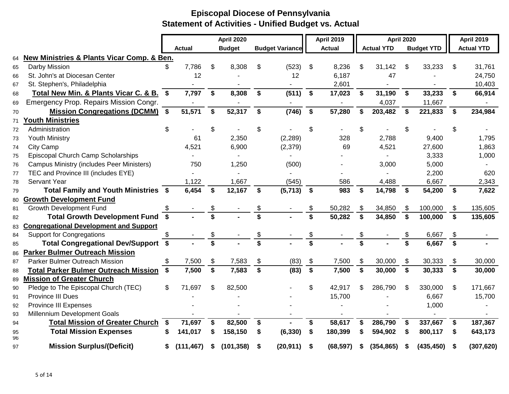|          |                                                           |              |               |                    | <b>April 2020</b> |              |                        |               | <b>April 2019</b> |                    | <b>April 2020</b> |              |                   |              | <b>April 2019</b> |
|----------|-----------------------------------------------------------|--------------|---------------|--------------------|-------------------|--------------|------------------------|---------------|-------------------|--------------------|-------------------|--------------|-------------------|--------------|-------------------|
|          |                                                           |              | <b>Actual</b> |                    | <b>Budget</b>     |              | <b>Budget Variance</b> |               | <b>Actual</b>     |                    | <b>Actual YTD</b> |              | <b>Budget YTD</b> |              | <b>Actual YTD</b> |
| 64       | <b>New Ministries &amp; Plants Vicar Comp. &amp; Ben.</b> |              |               |                    |                   |              |                        |               |                   |                    |                   |              |                   |              |                   |
| 65       | Darby Mission                                             |              | 7,786         | \$                 | 8,308             | S            | (523)                  | -\$           | 8,236             | \$                 | 31,142            | \$           | 33,233            | \$.          | 31,761            |
| 66       | St. John's at Diocesan Center                             |              | 12            |                    |                   |              | 12                     |               | 6,187             |                    | 47                |              |                   |              | 24,750            |
| 67       | St. Stephen's, Philadelphia                               |              |               |                    |                   |              |                        |               | 2,601             |                    |                   |              |                   |              | 10,403            |
| 68       | Total New Min. & Plants Vicar C. & B.                     | $\mathbf{s}$ | 7,797         | \$                 | 8,308             | \$           | (511)                  | \$            | 17,023            | \$                 | 31,190            | \$           | 33,233            | \$           | 66,914            |
| 69       | Emergency Prop. Repairs Mission Congr.                    |              |               |                    |                   |              |                        |               |                   |                    | 4,037             |              | 11,667            |              |                   |
| 70       | <b>Mission Congregations (DCMM) \$</b>                    |              | 51,571        | \$                 | 52,317            | \$           | (746)                  | $\sqrt[6]{3}$ | 57,280            | \$                 | 203,482           | \$           | 221,833           | \$           | 234,984           |
| 71       | <u><b>Outh Ministries</b></u>                             |              |               |                    |                   |              |                        |               |                   |                    |                   |              |                   |              |                   |
| 72       | Administration                                            | \$           |               | \$                 |                   | \$           |                        | \$            |                   | \$                 |                   | \$           |                   | \$           |                   |
| 73       | <b>Youth Ministry</b>                                     |              | 61            |                    | 2,350             |              | (2, 289)               |               | 328               |                    | 2,788             |              | 9,400             |              | 1,795             |
| 74       | City Camp                                                 |              | 4,521         |                    | 6,900             |              | (2,379)                |               | 69                |                    | 4,521             |              | 27,600            |              | 1,863             |
| 75       | Episcopal Church Camp Scholarships                        |              |               |                    |                   |              | $\blacksquare$         |               |                   |                    |                   |              | 3,333             |              | 1,000             |
| 76       | <b>Campus Ministry (includes Peer Ministers)</b>          |              | 750           |                    | 1,250             |              | (500)                  |               |                   |                    | 3,000             |              | 5,000             |              |                   |
| 77       | TEC and Province III (includes EYE)                       |              |               |                    |                   |              |                        |               |                   |                    |                   |              | 2,200             |              | 620               |
| 78       | <b>Servant Year</b>                                       |              | 1,122         |                    | 1,667             |              | (545)                  |               | 586               |                    | 4,488             |              | 6,667             |              | 2,343             |
| 79       | Total Family and Youth Ministries \$                      |              | 6,454         | $\mathbf{s}$       | 12,167            | $\mathbf{s}$ | (5,713)                | $\mathbf{s}$  | 983               | $\mathbf{s}$       | 14,798            | \$           | 54,200            | $\sqrt{5}$   | 7,622             |
| 80       | <b>Growth Development Fund</b>                            |              |               |                    |                   |              |                        |               |                   |                    |                   |              |                   |              |                   |
| 81       | Growth Development Fund                                   | \$           |               |                    |                   |              |                        |               | 50,282            | \$                 | 34,850            | \$           | 100,000           | \$           | 135,605           |
| 82       | Total Growth Development Fund \$                          |              |               |                    |                   |              |                        |               | 50,282            | $\mathbf{\hat{s}}$ | 34,850            | $\mathbf{s}$ | 100,000           | $\mathbf{s}$ | 135,605           |
| 83       | <b>Congregational Development and Support</b>             |              |               |                    |                   |              |                        |               |                   |                    |                   |              |                   |              |                   |
| 84       | <b>Support for Congregations</b>                          | S            |               | \$                 |                   | \$           |                        | \$            |                   | \$                 |                   | \$           | 6,667             | \$           |                   |
| 85       | Total Congregational Dev/Support \$                       |              |               | \$                 |                   | \$           |                        | \$            |                   | \$                 |                   | \$           | 6,667             | \$           |                   |
| 86       | <b>Parker Bulmer Outreach Mission</b>                     |              |               |                    |                   |              |                        |               |                   |                    |                   |              |                   |              |                   |
| 87       | <b>Parker Bulmer Outreach Mission</b>                     | \$           | 7,500         | \$                 | 7,583             | \$           | (83)                   | \$            | 7,500             | \$                 | 30,000            | \$           | 30,333            | \$           | 30,000            |
| 88       | <b>Total Parker Bulmer Outreach Mission \$</b>            |              | 7,500         | $\mathbf{\hat{s}}$ | 7,583             | \$           | (83)                   | \$            | 7,500             | \$                 | 30,000            | $\mathbf{s}$ | 30,333            | \$           | 30,000            |
| 89       | <b>Mission of Greater Church</b>                          |              |               |                    |                   |              |                        |               |                   |                    |                   |              |                   |              |                   |
| 90       | Pledge to The Episcopal Church (TEC)                      | \$           | 71,697        | \$                 | 82,500            |              |                        | \$            | 42,917            | \$                 | 286,790           | \$           | 330,000           | \$           | 171,667           |
| 91       | <b>Province III Dues</b>                                  |              |               |                    |                   |              |                        |               | 15,700            |                    |                   |              | 6,667             |              | 15,700            |
| 92       | Province III Expenses                                     |              |               |                    |                   |              |                        |               |                   |                    |                   |              | 1,000             |              |                   |
| 93       | Millennium Development Goals                              |              |               |                    |                   |              |                        |               |                   |                    |                   |              |                   |              |                   |
| 94       | <b>Total Mission of Greater Church</b>                    | \$           | 71,697        | \$                 | 82,500            | \$           |                        | \$            | 58,617            | \$                 | 286,790           | \$           | 337,667           | \$           | 187,367           |
| 95<br>96 | <b>Total Mission Expenses</b>                             |              | 141,017       | \$                 | 158,150           | \$           | (6, 330)               | \$            | 180,399           | \$                 | 594,902           | \$           | 800,117           | \$           | 643,173           |
| 97       | <b>Mission Surplus/(Deficit)</b>                          | S            | (111, 467)    | S                  | (101, 358)        | S            | (20, 911)              | S             | (68, 597)         | S                  | (354, 865)        | S            | (435, 450)        |              | (307, 620)        |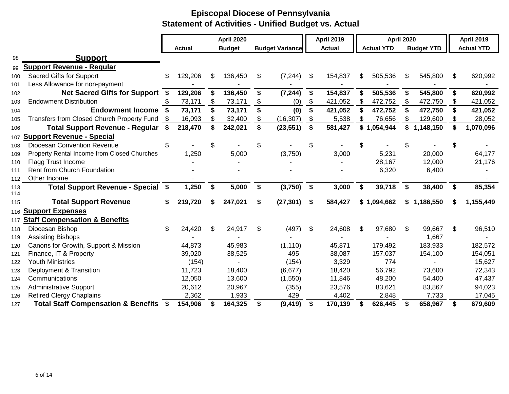|            |                                                   |      |               | April 2020    |               |                        | <b>April 2019</b>  | <b>April 2020</b> |    |                   | <b>April 2019</b> |                   |    |                   |
|------------|---------------------------------------------------|------|---------------|---------------|---------------|------------------------|--------------------|-------------------|----|-------------------|-------------------|-------------------|----|-------------------|
|            |                                                   |      | <b>Actual</b> |               | <b>Budget</b> | <b>Budget Variance</b> |                    | <b>Actual</b>     |    | <b>Actual YTD</b> |                   | <b>Budget YTD</b> |    | <b>Actual YTD</b> |
| 98         | <b>Support</b>                                    |      |               |               |               |                        |                    |                   |    |                   |                   |                   |    |                   |
| 99         | <b>Support Revenue - Regular</b>                  |      |               |               |               |                        |                    |                   |    |                   |                   |                   |    |                   |
| 100        | Sacred Gifts for Support                          | \$   | 129,206       | -SS           | 136,450       | \$<br>(7, 244)         | -S                 | 154,837           | S  | 505,536           | S                 | 545,800           | S  | 620,992           |
| 101        | Less Allowance for non-payment                    |      |               |               |               |                        |                    |                   |    |                   |                   |                   |    |                   |
| 102        | <b>Net Sacred Gifts for Support</b>               | - \$ | 129,206       | \$            | 136,450       | \$<br>(7, 244)         | \$                 | 154,837           | \$ | 505,536           | \$                | 545,800           | \$ | 620,992           |
| 103        | <b>Endowment Distribution</b>                     | \$.  | 73,171        | S.            | 73,171        | \$<br>(0)              | \$                 | 421,052           | \$ | 472,752           | \$                | 472,750           | \$ | 421,052           |
| 104        | <b>Endowment Income</b>                           | - \$ | 73,171        | $\mathbf{\$}$ | 73,171        | \$<br>(0)              | $\mathbf{\hat{s}}$ | 421,052           | \$ | 472,752           | \$                | 472,750           | \$ | 421,052           |
| 105        | Transfers from Closed Church Property Fund        | - \$ | 16,093        |               | 32,400        | \$<br>(16, 307)        | \$                 | 5,538             | \$ | 76,656            | S                 | 129,600           | \$ | 28,052            |
| 106        | Total Support Revenue - Regular \$                |      | 218,470       | \$            | 242,021       | \$<br>(23, 551)        | \$                 | 581,427           | \$ | 1,054,944         | \$                | 1,148,150         | \$ | 1,070,096         |
| 107        | <b>Support Revenue - Special</b>                  |      |               |               |               |                        |                    |                   |    |                   |                   |                   |    |                   |
| 108        | <b>Diocesan Convention Revenue</b>                | \$   |               | \$            |               | \$                     | \$                 |                   |    |                   |                   |                   | \$ |                   |
| 109        | Property Rental Income from Closed Churches       |      | 1,250         |               | 5,000         | (3,750)                |                    | 3,000             |    | 5,231             |                   | 20,000            |    | 64,177            |
| 110        | Flagg Trust Income                                |      |               |               |               |                        |                    |                   |    | 28,167            |                   | 12,000            |    | 21,176            |
| 111        | <b>Rent from Church Foundation</b>                |      |               |               |               |                        |                    |                   |    | 6,320             |                   | 6,400             |    |                   |
| 112        | Other Income                                      |      |               |               |               |                        |                    |                   |    |                   |                   |                   |    |                   |
| 113        | Total Support Revenue - Special \$                |      | 1,250         | \$            | 5,000         | \$<br>(3,750)          | \$                 | 3,000             | \$ | 39,718            | \$                | 38,400            | \$ | 85,354            |
| 114<br>115 | <b>Total Support Revenue</b>                      | S    | 219,720       | S             | 247,021       | \$<br>(27, 301)        | \$                 | 584,427           |    | \$1,094,662       | \$                | 1,186,550         | S  | 1,155,449         |
| 116        | <b>Support Expenses</b>                           |      |               |               |               |                        |                    |                   |    |                   |                   |                   |    |                   |
| 117        | <b>Staff Compensation &amp; Benefits</b>          |      |               |               |               |                        |                    |                   |    |                   |                   |                   |    |                   |
| 118        | Diocesan Bishop                                   | \$   | 24,420        | \$            | 24,917        | \$<br>(497)            | \$                 | 24,608            | \$ | 97,680            | \$                | 99,667            | \$ | 96,510            |
| 119        | <b>Assisting Bishops</b>                          |      |               |               |               |                        |                    |                   |    |                   |                   | 1,667             |    |                   |
| 120        | Canons for Growth, Support & Mission              |      | 44,873        |               | 45,983        | (1, 110)               |                    | 45,871            |    | 179,492           |                   | 183,933           |    | 182,572           |
| 121        | Finance, IT & Property                            |      | 39,020        |               | 38,525        | 495                    |                    | 38,087            |    | 157,037           |                   | 154,100           |    | 154,051           |
| 122        | <b>Youth Ministries</b>                           |      | (154)         |               |               | (154)                  |                    | 3,329             |    | 774               |                   |                   |    | 15,627            |
| 123        | Deployment & Transition                           |      | 11,723        |               | 18,400        | (6, 677)               |                    | 18,420            |    | 56,792            |                   | 73,600            |    | 72,343            |
| 124        | Communications                                    |      | 12,050        |               | 13,600        | (1,550)                |                    | 11,846            |    | 48,200            |                   | 54,400            |    | 47,437            |
| 125        | <b>Administrative Support</b>                     |      | 20,612        |               | 20,967        | (355)                  |                    | 23,576            |    | 83,621            |                   | 83,867            |    | 94,023            |
| 126        | <b>Retired Clergy Chaplains</b>                   |      | 2,362         |               | 1,933         | 429                    |                    | 4,402             |    | 2,848             |                   | 7,733             |    | 17,045            |
| 127        | <b>Total Staff Compensation &amp; Benefits \$</b> |      | 154,906       |               | 164,325       | \$<br>(9, 419)         | \$                 | 170,139           | S  | 626,445           | S                 | 658,967           | \$ | 679,609           |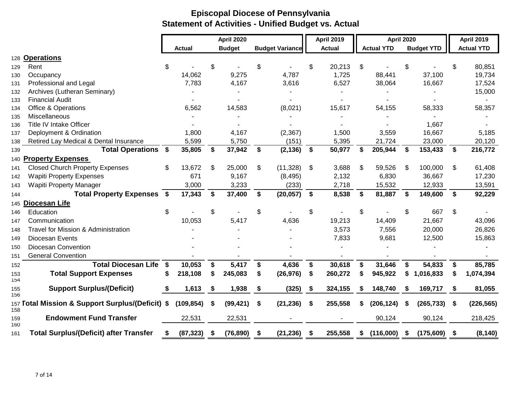| 128 Operations<br>Rent<br>Occupancy<br>Professional and Legal<br>Archives (Lutheran Seminary)<br><b>Financial Audit</b><br><b>Office &amp; Operations</b><br>Miscellaneous<br><b>Title IV Intake Officer</b><br>Deployment & Ordination<br>Retired Lay Medical & Dental Insurance<br>Total Operations \$<br>140 Property Expenses | \$. | <b>Actual</b><br>14,062<br>7,783<br>6,562<br>1,800<br>5,599 | \$                                                              | <b>April 2020</b><br><b>Budget</b><br>9,275<br>4,167<br>14,583 | \$<br><b>Budget Variance</b><br>4,787<br>3,616<br>(8,021) | \$<br><b>April 2019</b><br><b>Actual</b><br>20,213<br>1,725<br>6,527<br>15,617 | \$ | <b>April 2020</b><br><b>Actual YTD</b><br>88,441<br>38,064<br>54,155 | \$ | <b>Budget YTD</b><br>37,100<br>16,667 | \$                                                                    | <b>April 2019</b><br><b>Actual YTD</b><br>80,851<br>19,734<br>17,524<br>15,000 |
|-----------------------------------------------------------------------------------------------------------------------------------------------------------------------------------------------------------------------------------------------------------------------------------------------------------------------------------|-----|-------------------------------------------------------------|-----------------------------------------------------------------|----------------------------------------------------------------|-----------------------------------------------------------|--------------------------------------------------------------------------------|----|----------------------------------------------------------------------|----|---------------------------------------|-----------------------------------------------------------------------|--------------------------------------------------------------------------------|
|                                                                                                                                                                                                                                                                                                                                   |     |                                                             |                                                                 |                                                                |                                                           |                                                                                |    |                                                                      |    |                                       |                                                                       |                                                                                |
|                                                                                                                                                                                                                                                                                                                                   |     |                                                             |                                                                 |                                                                |                                                           |                                                                                |    |                                                                      |    |                                       |                                                                       |                                                                                |
|                                                                                                                                                                                                                                                                                                                                   |     |                                                             |                                                                 |                                                                |                                                           |                                                                                |    |                                                                      |    |                                       |                                                                       |                                                                                |
|                                                                                                                                                                                                                                                                                                                                   |     |                                                             |                                                                 |                                                                |                                                           |                                                                                |    |                                                                      |    |                                       |                                                                       |                                                                                |
|                                                                                                                                                                                                                                                                                                                                   |     |                                                             |                                                                 |                                                                |                                                           |                                                                                |    |                                                                      |    |                                       |                                                                       |                                                                                |
|                                                                                                                                                                                                                                                                                                                                   |     |                                                             |                                                                 |                                                                |                                                           |                                                                                |    |                                                                      |    |                                       |                                                                       |                                                                                |
|                                                                                                                                                                                                                                                                                                                                   |     |                                                             |                                                                 |                                                                |                                                           |                                                                                |    |                                                                      |    |                                       |                                                                       |                                                                                |
|                                                                                                                                                                                                                                                                                                                                   |     |                                                             |                                                                 |                                                                |                                                           |                                                                                |    |                                                                      |    |                                       |                                                                       |                                                                                |
|                                                                                                                                                                                                                                                                                                                                   |     |                                                             |                                                                 |                                                                |                                                           |                                                                                |    |                                                                      |    | 58,333                                |                                                                       | 58,357                                                                         |
|                                                                                                                                                                                                                                                                                                                                   |     |                                                             |                                                                 |                                                                |                                                           |                                                                                |    |                                                                      |    |                                       |                                                                       |                                                                                |
|                                                                                                                                                                                                                                                                                                                                   |     |                                                             |                                                                 |                                                                |                                                           |                                                                                |    |                                                                      |    | 1,667                                 |                                                                       |                                                                                |
|                                                                                                                                                                                                                                                                                                                                   |     |                                                             |                                                                 | 4,167                                                          | (2, 367)                                                  | 1,500                                                                          |    | 3,559                                                                |    | 16,667                                |                                                                       | 5,185                                                                          |
|                                                                                                                                                                                                                                                                                                                                   |     |                                                             |                                                                 | 5,750                                                          | (151)                                                     | 5,395                                                                          |    | 21,724                                                               |    | 23,000                                |                                                                       | 20,120                                                                         |
|                                                                                                                                                                                                                                                                                                                                   |     | 35,805                                                      | \$                                                              | 37,942                                                         | \$<br>(2, 136)                                            | \$<br>50,977                                                                   | \$ | 205,944                                                              | \$ | 153,433                               | \$                                                                    | 216,772                                                                        |
|                                                                                                                                                                                                                                                                                                                                   |     |                                                             |                                                                 |                                                                |                                                           |                                                                                |    |                                                                      |    |                                       |                                                                       |                                                                                |
| <b>Closed Church Property Expenses</b>                                                                                                                                                                                                                                                                                            | \$  | 13,672                                                      | \$                                                              | 25,000                                                         | \$<br>(11, 328)                                           | \$<br>3,688                                                                    | \$ | 59,526                                                               | \$ | 100,000                               | \$                                                                    | 61,408                                                                         |
| <b>Wapiti Property Expenses</b>                                                                                                                                                                                                                                                                                                   |     | 671                                                         |                                                                 | 9,167                                                          | (8, 495)                                                  | 2,132                                                                          |    | 6,830                                                                |    | 36,667                                |                                                                       | 17,230                                                                         |
| <b>Wapiti Property Manager</b>                                                                                                                                                                                                                                                                                                    |     | 3,000                                                       |                                                                 | 3,233                                                          | (233)                                                     | 2,718                                                                          |    | 15,532                                                               |    | 12,933                                |                                                                       | 13,591                                                                         |
| <b>Total Property Expenses \$</b>                                                                                                                                                                                                                                                                                                 |     | 17,343                                                      | S.                                                              | 37,400                                                         | \$<br>(20, 057)                                           | \$<br>8,538                                                                    | \$ | 81,887                                                               | Ŝ. | 149,600                               | \$                                                                    | 92,229                                                                         |
| 145 Diocesan Life                                                                                                                                                                                                                                                                                                                 |     |                                                             |                                                                 |                                                                |                                                           |                                                                                |    |                                                                      |    |                                       |                                                                       |                                                                                |
| Education                                                                                                                                                                                                                                                                                                                         | \$  |                                                             | \$                                                              |                                                                | \$                                                        | \$                                                                             | \$ |                                                                      | \$ | 667                                   | \$                                                                    |                                                                                |
| Communication                                                                                                                                                                                                                                                                                                                     |     | 10,053                                                      |                                                                 | 5,417                                                          | 4,636                                                     | 19,213                                                                         |    | 14,409                                                               |    | 21,667                                |                                                                       | 43,096                                                                         |
| Travel for Mission & Administration                                                                                                                                                                                                                                                                                               |     |                                                             |                                                                 |                                                                |                                                           | 3,573                                                                          |    | 7,556                                                                |    | 20,000                                |                                                                       | 26,826                                                                         |
| Diocesan Events                                                                                                                                                                                                                                                                                                                   |     |                                                             |                                                                 |                                                                |                                                           | 7,833                                                                          |    | 9,681                                                                |    | 12,500                                |                                                                       | 15,863                                                                         |
| Diocesan Convention                                                                                                                                                                                                                                                                                                               |     |                                                             |                                                                 |                                                                |                                                           |                                                                                |    |                                                                      |    |                                       |                                                                       |                                                                                |
| <b>General Convention</b>                                                                                                                                                                                                                                                                                                         |     |                                                             |                                                                 |                                                                |                                                           |                                                                                |    |                                                                      |    |                                       |                                                                       |                                                                                |
| <b>Total Diocesan Life</b>                                                                                                                                                                                                                                                                                                        | \$  | 10,053                                                      | \$                                                              | 5,417                                                          | \$<br>4,636                                               | \$<br>30,618                                                                   | \$ | 31,646                                                               | \$ | 54,833                                | \$                                                                    | 85,785                                                                         |
| <b>Total Support Expenses</b>                                                                                                                                                                                                                                                                                                     | S   | 218,108                                                     | \$                                                              | 245,083                                                        | \$<br>(26, 976)                                           | \$<br>260,272                                                                  |    | 945,922                                                              | S  | 1,016,833                             | S                                                                     | 1,074,394                                                                      |
| <b>Support Surplus/(Deficit)</b>                                                                                                                                                                                                                                                                                                  | \$  | 1,613                                                       | \$                                                              | 1,938                                                          | \$<br>(325)                                               | \$<br>324,155                                                                  |    | 148,740                                                              | \$ | 169,717                               | \$                                                                    | 81,055                                                                         |
|                                                                                                                                                                                                                                                                                                                                   |     | (109, 854)                                                  | \$                                                              | (99, 421)                                                      | \$<br>(21, 236)                                           | \$<br>255,558                                                                  | S  | (206, 124)                                                           | S. |                                       | \$                                                                    | (226, 565)                                                                     |
|                                                                                                                                                                                                                                                                                                                                   |     | 22,531                                                      |                                                                 | 22,531                                                         |                                                           |                                                                                |    | 90,124                                                               |    | 90,124                                |                                                                       | 218,425                                                                        |
| <b>Endowment Fund Transfer</b>                                                                                                                                                                                                                                                                                                    |     |                                                             | S.                                                              | (76, 890)                                                      |                                                           |                                                                                |    |                                                                      |    |                                       | - \$                                                                  | (8, 140)                                                                       |
|                                                                                                                                                                                                                                                                                                                                   |     | 157 Total Mission & Support Surplus/(Deficit) \$            | <b>Total Surplus/(Deficit) after Transfer</b><br>(87, 323)<br>S |                                                                |                                                           |                                                                                |    |                                                                      |    |                                       | (21, 236)<br>255,558<br>(116,000)<br>(175, 609)<br>\$<br>S<br>\$<br>S | (265, 733)                                                                     |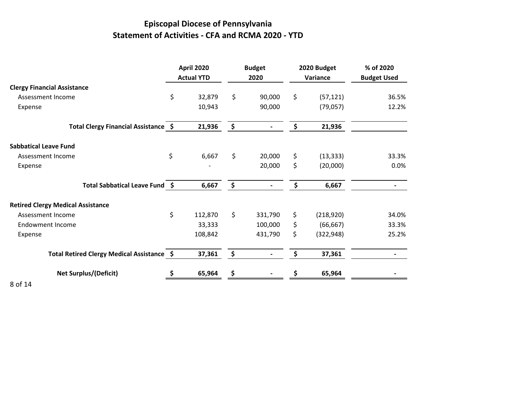# **Episcopal Diocese of Pennsylvania Statement of Activities - CFA and RCMA 2020 - YTD**

|                                            | <b>April 2020</b><br><b>Actual YTD</b> |               | <b>Budget</b><br>2020 | 2020 Budget<br>Variance | % of 2020<br><b>Budget Used</b> |
|--------------------------------------------|----------------------------------------|---------------|-----------------------|-------------------------|---------------------------------|
| <b>Clergy Financial Assistance</b>         |                                        |               |                       |                         |                                 |
| Assessment Income                          | \$<br>32,879                           | \$            | 90,000                | \$<br>(57, 121)         | 36.5%                           |
| Expense                                    | 10,943                                 |               | 90,000                | (79, 057)               | 12.2%                           |
| Total Clergy Financial Assistance \$       | 21,936                                 | \$            |                       | \$<br>21,936            |                                 |
| <b>Sabbatical Leave Fund</b>               |                                        |               |                       |                         |                                 |
| Assessment Income                          | \$<br>6,667                            | \$            | 20,000                | \$<br>(13, 333)         | 33.3%                           |
| Expense                                    |                                        |               | 20,000                | \$<br>(20,000)          | 0.0%                            |
| Total Sabbatical Leave Fund \$             | 6,667                                  | \$            |                       | \$<br>6,667             |                                 |
| <b>Retired Clergy Medical Assistance</b>   |                                        |               |                       |                         |                                 |
| Assessment Income                          | \$<br>112,870                          | \$            | 331,790               | \$<br>(218, 920)        | 34.0%                           |
| <b>Endowment Income</b>                    | 33,333                                 |               | 100,000               | \$<br>(66, 667)         | 33.3%                           |
| Expense                                    | 108,842                                |               | 431,790               | \$<br>(322, 948)        | 25.2%                           |
| Total Retired Clergy Medical Assistance \$ | 37,361                                 | $\frac{1}{2}$ |                       | \$<br>37,361            |                                 |
| <b>Net Surplus/(Deficit)</b>               | 65,964                                 |               |                       | 65,964                  |                                 |
| .                                          |                                        |               |                       |                         |                                 |

8 of 14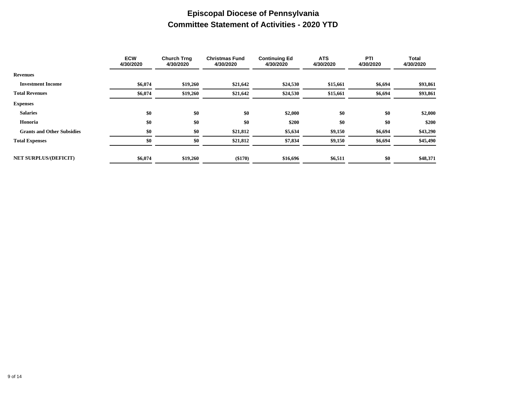### **Episcopal Diocese of Pennsylvania Committee Statement of Activities - 2020 YTD**

|                                   | <b>ECW</b><br>4/30/2020 | <b>Church Trng</b><br>4/30/2020 | <b>Christmas Fund</b><br>4/30/2020 | <b>Continuing Ed</b><br>4/30/2020 | <b>ATS</b><br>4/30/2020 | PTI<br>4/30/2020 | Total<br>4/30/2020 |
|-----------------------------------|-------------------------|---------------------------------|------------------------------------|-----------------------------------|-------------------------|------------------|--------------------|
| <b>Revenues</b>                   |                         |                                 |                                    |                                   |                         |                  |                    |
| <b>Investment Income</b>          | \$6,074                 | \$19,260                        | \$21,642                           | \$24,530                          | \$15,661                | \$6,694          | \$93,861           |
| <b>Total Revenues</b>             | \$6,074                 | \$19,260                        | \$21,642                           | \$24,530                          | \$15,661                | \$6,694          | \$93,861           |
| <b>Expenses</b>                   |                         |                                 |                                    |                                   |                         |                  |                    |
| <b>Salaries</b>                   | \$0                     | \$0                             | \$0                                | \$2,000                           | \$0                     | \$0              | \$2,000            |
| Honoria                           | \$0                     | \$0                             | \$0                                | \$200                             | \$0                     | \$0              | \$200              |
| <b>Grants and Other Subsidies</b> | \$0                     | \$0                             | \$21,812                           | \$5,634                           | \$9,150                 | \$6,694          | \$43,290           |
| <b>Total Expenses</b>             | \$0                     | \$0                             | \$21,812                           | \$7,834                           | \$9,150                 | \$6,694          | \$45,490           |
|                                   |                         |                                 |                                    |                                   |                         |                  |                    |
| <b>NET SURPLUS/(DEFICIT)</b>      | \$6,074                 | \$19,260                        | (\$170)                            | \$16,696                          | \$6,511                 | \$0              | \$48,371           |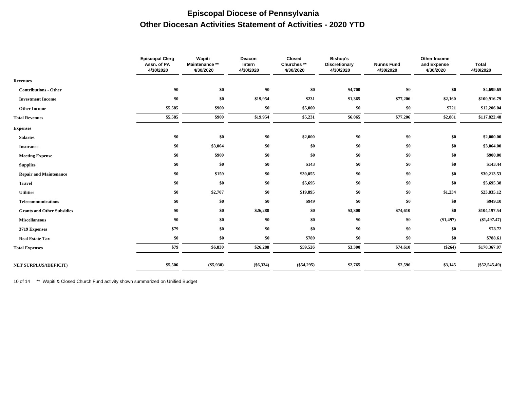### **Episcopal Diocese of Pennsylvania Other Diocesan Activities Statement of Activities - 2020 YTD**

|                                   | <b>Episcopal Clerg</b><br>Assn. of PA<br>4/30/2020 | Wapiti<br>Maintenance **<br>4/30/2020 | Deacon<br>Intern<br>4/30/2020 | Closed<br>Churches**<br>4/30/2020 | <b>Bishop's</b><br><b>Discretionary</b><br>4/30/2020 | <b>Nunns Fund</b><br>4/30/2020 | Other Income<br>and Expense<br>4/30/2020 | <b>Total</b><br>4/30/2020 |
|-----------------------------------|----------------------------------------------------|---------------------------------------|-------------------------------|-----------------------------------|------------------------------------------------------|--------------------------------|------------------------------------------|---------------------------|
| <b>Revenues</b>                   |                                                    |                                       |                               |                                   |                                                      |                                |                                          |                           |
| <b>Contributions - Other</b>      | \$0                                                | \$0                                   | \$0                           | \$0                               | \$4,700                                              | \$0                            | \$0                                      | \$4,699.65                |
| <b>Investment Income</b>          | \$0                                                | \$0                                   | \$19,954                      | \$231                             | \$1,365                                              | \$77,206                       | \$2,160                                  | \$100,916.79              |
| <b>Other Income</b>               | \$5,585                                            | \$900                                 | \$0                           | \$5,000                           | \$0                                                  | \$0                            | \$721                                    | \$12,206.04               |
| <b>Total Revenues</b>             | \$5,585                                            | \$900                                 | \$19,954                      | \$5,231                           | \$6,065                                              | \$77,206                       | \$2,881                                  | \$117,822.48              |
| <b>Expenses</b>                   |                                                    |                                       |                               |                                   |                                                      |                                |                                          |                           |
| <b>Salaries</b>                   | \$0                                                | \$0                                   | \$0                           | \$2,000                           | \$0                                                  | \$0                            | \$0                                      | \$2,000.00                |
| <b>Insurance</b>                  | \$0                                                | \$3,064                               | \$0                           | \$0                               | \$0                                                  | \$0                            | \$0                                      | \$3,064.00                |
| <b>Meeting Expense</b>            | \$0                                                | \$900                                 | \$0                           | \$0                               | \$0                                                  | \$0                            | \$0                                      | \$900.00                  |
| <b>Supplies</b>                   | \$0                                                | \$0                                   | \$0                           | \$143                             | \$0                                                  | \$0                            | \$0                                      | \$143.44                  |
| <b>Repair and Maintenance</b>     | \$0                                                | \$159                                 | \$0                           | \$30,055                          | \$0                                                  | \$0                            | \$0                                      | \$30,213.53               |
| <b>Travel</b>                     | \$0                                                | \$0                                   | \$0                           | \$5,695                           | \$0                                                  | \$0                            | \$0                                      | \$5,695.38                |
| <b>Utilities</b>                  | \$0                                                | \$2,707                               | \$0                           | \$19,895                          | \$0                                                  | \$0                            | \$1,234                                  | \$23,835.12               |
| <b>Telecommunications</b>         | \$0                                                | \$0                                   | \$0                           | \$949                             | \$0                                                  | \$0                            | \$0                                      | \$949.10                  |
| <b>Grants and Other Subsidies</b> | \$0                                                | \$0                                   | \$26,288                      | \$0                               | \$3,300                                              | \$74,610                       | \$0                                      | \$104,197.54              |
| <b>Miscellaneous</b>              | \$0                                                | \$0                                   | \$0                           | \$0                               | \$0                                                  | \$0                            | (\$1,497)                                | (\$1,497.47)              |
| 3719 Expenses                     | \$79                                               | \$0                                   | \$0                           | \$0                               | \$0                                                  | \$0                            | \$0                                      | \$78.72                   |
| <b>Real Estate Tax</b>            | \$0                                                | \$0                                   | \$0                           | \$789                             | \$0                                                  | \$0                            | \$0                                      | \$788.61                  |
| <b>Total Expenses</b>             | \$79                                               | \$6,830                               | \$26,288                      | \$59,526                          | \$3,300                                              | \$74,610                       | $(\$264)$                                | \$170,367.97              |
| <b>NET SURPLUS/(DEFICIT)</b>      | \$5,506                                            | $(\$5,930)$                           | $(\$6,334)$                   | $(\$54,295)$                      | \$2,765                                              | \$2,596                        | \$3,145                                  | $(\$52,545.49)$           |
|                                   |                                                    |                                       |                               |                                   |                                                      |                                |                                          |                           |

10 of 14 \*\* Wapiti & Closed Church Fund activity shown summarized on Unified Budget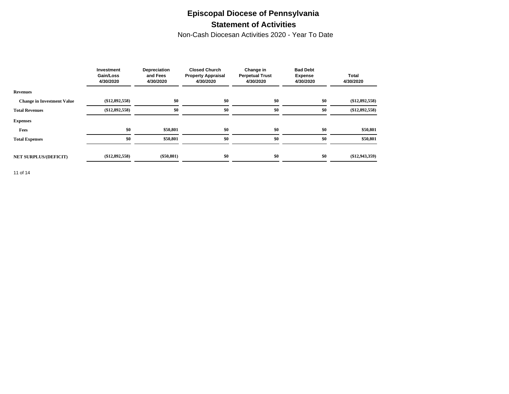### **Episcopal Diocese of Pennsylvania Statement of Activities**

Non-Cash Diocesan Activities 2020 - Year To Date

|                                   | Investment<br>Gain/Loss<br>4/30/2020 | Depreciation<br>and Fees<br>4/30/2020 | <b>Closed Church</b><br><b>Property Appraisal</b><br>4/30/2020 | Change in<br><b>Perpetual Trust</b><br>4/30/2020 | <b>Bad Debt</b><br><b>Expense</b><br>4/30/2020 | <b>Total</b><br>4/30/2020 |  |
|-----------------------------------|--------------------------------------|---------------------------------------|----------------------------------------------------------------|--------------------------------------------------|------------------------------------------------|---------------------------|--|
| <b>Revenues</b>                   |                                      |                                       |                                                                |                                                  |                                                |                           |  |
| <b>Change in Investment Value</b> | $(\$12,892,558)$                     | \$0                                   | \$0                                                            | \$0                                              | \$0                                            | $(\$12,892,558)$          |  |
| <b>Total Revenues</b>             | $(\$12,892,558)$                     | \$0                                   | \$0                                                            | \$0                                              | \$0                                            | $(\$12,892,558)$          |  |
| <b>Expenses</b>                   |                                      |                                       |                                                                |                                                  |                                                |                           |  |
| Fees                              | \$0                                  | \$50,801                              | \$0                                                            | \$0                                              | \$0                                            | \$50,801                  |  |
| <b>Total Expenses</b>             | \$0                                  | \$50,801                              | \$0                                                            | \$0                                              | \$0                                            | \$50,801                  |  |
|                                   |                                      |                                       |                                                                |                                                  |                                                |                           |  |
| <b>NET SURPLUS/(DEFICIT)</b>      | $(\$12,892,558)$                     | $(\$50,801)$                          | \$0                                                            | \$0                                              | \$0                                            | $(\$12,943,359)$          |  |

11 of 14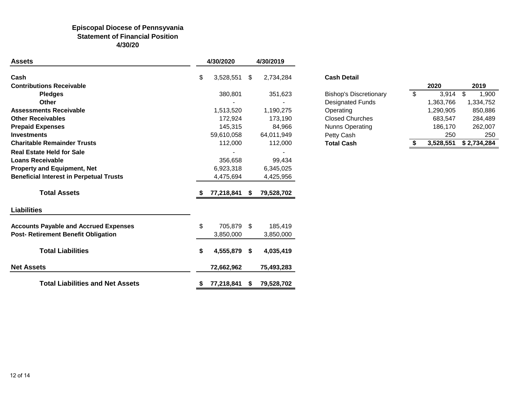#### **Episcopal Diocese of Pennsyvania Statement of Financial Position 4/30/20**

| <b>Assets</b>                                  |    | 4/30/2020    |    | 4/30/2019  |                               |                          |           |             |
|------------------------------------------------|----|--------------|----|------------|-------------------------------|--------------------------|-----------|-------------|
| Cash                                           | \$ | 3,528,551    | \$ | 2,734,284  | <b>Cash Detail</b>            |                          |           |             |
| <b>Contributions Receivable</b>                |    |              |    |            |                               |                          | 2020      | 2019        |
| <b>Pledges</b>                                 |    | 380,801      |    | 351,623    | <b>Bishop's Discretionary</b> | $\overline{\mathcal{S}}$ | 3,914     | \$<br>1,900 |
| <b>Other</b>                                   |    |              |    |            | <b>Designated Funds</b>       |                          | 1,363,766 | 1,334,752   |
| <b>Assessments Receivable</b>                  |    | 1,513,520    |    | 1,190,275  | Operating                     |                          | 1,290,905 | 850,886     |
| <b>Other Receivables</b>                       |    | 172,924      |    | 173,190    | <b>Closed Churches</b>        |                          | 683,547   | 284,489     |
| <b>Prepaid Expenses</b>                        |    | 145,315      |    | 84,966     | <b>Nunns Operating</b>        |                          | 186,170   | 262,007     |
| <b>Investments</b>                             |    | 59,610,058   |    | 64,011,949 | Petty Cash                    |                          | 250       | 250         |
| <b>Charitable Remainder Trusts</b>             |    | 112,000      |    | 112,000    | <b>Total Cash</b>             |                          | 3,528,551 | \$2,734,284 |
| <b>Real Estate Held for Sale</b>               |    |              |    |            |                               |                          |           |             |
| <b>Loans Receivable</b>                        |    | 356,658      |    | 99,434     |                               |                          |           |             |
| <b>Property and Equipment, Net</b>             |    | 6,923,318    |    | 6,345,025  |                               |                          |           |             |
| <b>Beneficial Interest in Perpetual Trusts</b> |    | 4,475,694    |    | 4,425,956  |                               |                          |           |             |
| <b>Total Assets</b>                            |    | 77,218,841   | S. | 79,528,702 |                               |                          |           |             |
| <b>Liabilities</b>                             |    |              |    |            |                               |                          |           |             |
| <b>Accounts Payable and Accrued Expenses</b>   | \$ | 705,879 \$   |    | 185,419    |                               |                          |           |             |
| Post- Retirement Benefit Obligation            |    | 3,850,000    |    | 3,850,000  |                               |                          |           |             |
| <b>Total Liabilities</b>                       | S  | 4,555,879 \$ |    | 4,035,419  |                               |                          |           |             |
| <b>Net Assets</b>                              |    | 72,662,962   |    | 75,493,283 |                               |                          |           |             |
| <b>Total Liabilities and Net Assets</b>        | S  | 77,218,841   | S. | 79,528,702 |                               |                          |           |             |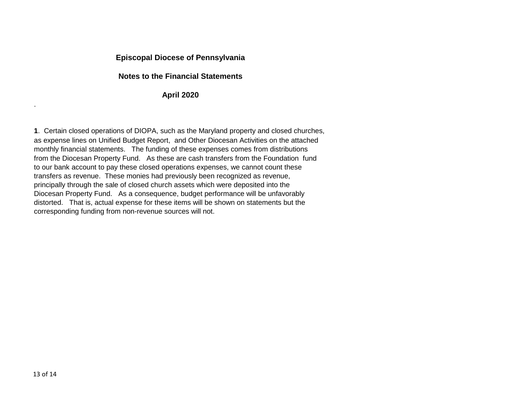#### **Episcopal Diocese of Pennsylvania**

#### **Notes to the Financial Statements**

#### **April 2020**

**1**. Certain closed operations of DIOPA, such as the Maryland property and closed churches, as expense lines on Unified Budget Report, and Other Diocesan Activities on the attached monthly financial statements. The funding of these expenses comes from distributions from the Diocesan Property Fund. As these are cash transfers from the Foundation fund to our bank account to pay these closed operations expenses, we cannot count these transfers as revenue. These monies had previously been recognized as revenue, principally through the sale of closed church assets which were deposited into the Diocesan Property Fund. As a consequence, budget performance will be unfavorably distorted. That is, actual expense for these items will be shown on statements but the corresponding funding from non-revenue sources will not.

.